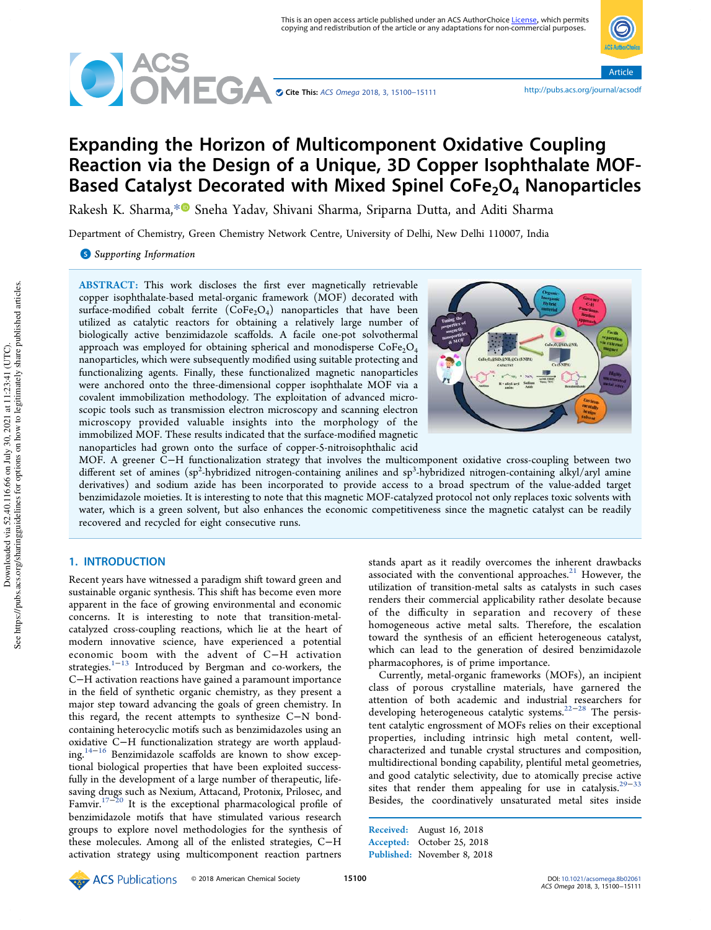

Article

# Expanding the Horizon of Multicomponent Oxidative Coupling Reaction via the Design of a Unique, 3D Copper Isophthalate MOF-Based Catalyst Decorated with Mixed Spinel CoFe<sub>2</sub>O<sub>4</sub> Nanoparticles

Rakesh K. Sharma, \*<sup>1</sup> Sneha Yadav, Shivani Sharma, Sriparna Dutta, and Aditi Sharma

Department of Chemistry, Green Chemistry Network Centre, University of Delhi, New Delhi 110007, India

**S** Supporting Information

ABSTRACT: This work discloses the first ever magnetically retrievable copper isophthalate-based metal-organic framework (MOF) decorated with surface-modified cobalt ferrite  $(CoFe<sub>2</sub>O<sub>4</sub>)$  nanoparticles that have been utilized as catalytic reactors for obtaining a relatively large number of biologically active benzimidazole scaffolds. A facile one-pot solvothermal approach was employed for obtaining spherical and monodisperse  $\text{CoFe}_2\text{O}_4$ nanoparticles, which were subsequently modified using suitable protecting and functionalizing agents. Finally, these functionalized magnetic nanoparticles were anchored onto the three-dimensional copper isophthalate MOF via a covalent immobilization methodology. The exploitation of advanced microscopic tools such as transmission electron microscopy and scanning electron microscopy provided valuable insights into the morphology of the immobilized MOF. These results indicated that the surface-modified magnetic nanoparticles had grown onto the surface of copper-5-nitroisophthalic acid



MOF. A greener C−H functionalization strategy that involves the multicomponent oxidative cross-coupling between two different set of amines (sp<sup>2</sup>-hybridized nitrogen-containing anilines and sp<sup>3</sup>-hybridized nitrogen-containing alkyl/aryl amine derivatives) and sodium azide has been incorporated to provide access to a broad spectrum of the value-added target benzimidazole moieties. It is interesting to note that this magnetic MOF-catalyzed protocol not only replaces toxic solvents with water, which is a green solvent, but also enhances the economic competitiveness since the magnetic catalyst can be readily recovered and recycled for eight consecutive runs.

## 1. INTRODUCTION

Recent years have witnessed a paradigm shift toward green and sustainable organic synthesis. This shift has become even more apparent in the face of growing environmental and economic concerns. It is interesting to note that transition-metalcatalyzed cross-coupling reactions, which lie at the heart of modern innovative science, have experienced a potential economic boom with the advent of C−H activation strategies.<sup>1−13</sup> Introduced by Bergman and co-workers, the C−H activation reactions have gained a paramount importance in the field of synthetic organic chemistry, as they present a major step toward advancing the goals of green chemistry. In this regard, the recent attempts to synthesize C−N bondcontaining heterocyclic motifs such as benzimidazoles using an oxidative C−H functionalization strategy are worth applauding.14−<sup>16</sup> Benzimidazole scaffolds are known to show exceptional biological properties that have been exploited successfully in the development of a large number of therapeutic, lifesaving drugs such as Nexium, Attacand, Protonix, Prilosec, and Famvir.17−<sup>20</sup> It is the exceptional pharmacological profile of benzimidazole motifs that have stimulated various research groups to explore novel methodologies for the synthesis of these molecules. Among all of the enlisted strategies, C−H activation strategy using multicomponent reaction partners

stands apart as it readily overcomes the inherent drawbacks associated with the conventional approaches. $21$  However, the utilization of transition-metal salts as catalysts in such cases renders their commercial applicability rather desolate because of the difficulty in separation and recovery of these homogeneous active metal salts. Therefore, the escalation toward the synthesis of an efficient heterogeneous catalyst, which can lead to the generation of desired benzimidazole pharmacophores, is of prime importance.

Currently, metal-organic frameworks (MOFs), an incipient class of porous crystalline materials, have garnered the attention of both academic and industrial researchers for developing heterogeneous catalytic systems.<sup>22−28</sup> The persistent catalytic engrossment of MOFs relies on their exceptional properties, including intrinsic high metal content, wellcharacterized and tunable crystal structures and composition, multidirectional bonding capability, plentiful metal geometries, and good catalytic selectivity, due to atomically precise active sites that render them appealing for use in catalysis.<sup>29-33</sup> Besides, the coordinatively unsaturated metal sites inside

Received: August 16, 2018 Accepted: October 25, 2018 Published: November 8, 2018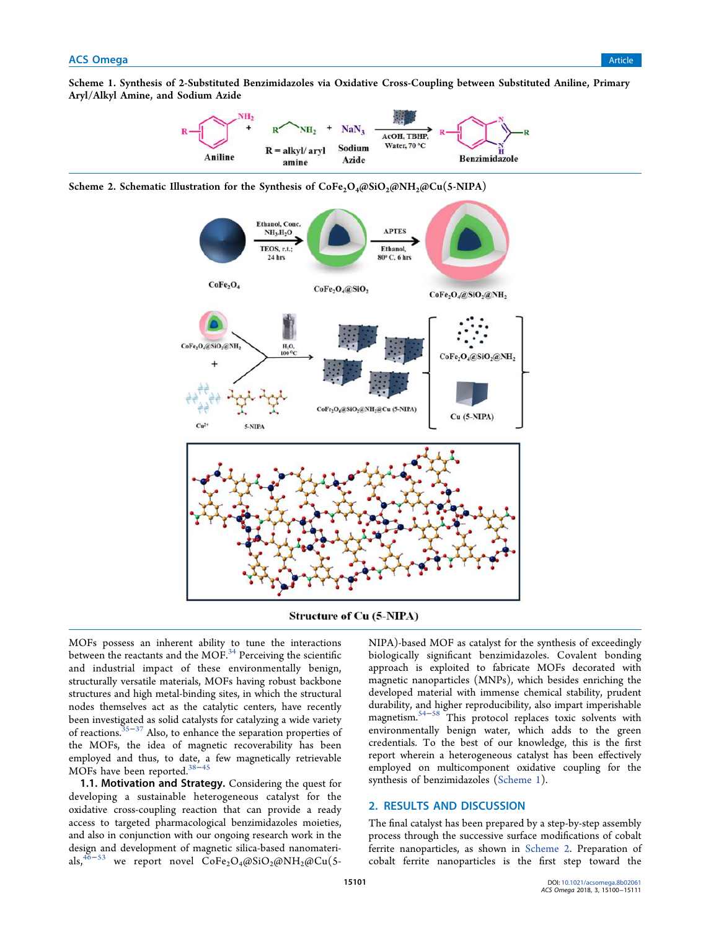Scheme 1. Synthesis of 2-Substituted Benzimidazoles via Oxidative Cross-Coupling between Substituted Aniline, Primary Aryl/Alkyl Amine, and Sodium Azide



Scheme 2. Schematic Illustration for the Synthesis of  $CoFe<sub>2</sub>O<sub>4</sub>(@SiO<sub>2</sub>(@NH<sub>2</sub>(@Cu(5-NIPA)$ 



**Structure of Cu (5-NIPA)** 

MOFs possess an inherent ability to tune the interactions between the reactants and the MOF. $34$  Perceiving the scientific and industrial impact of these environmentally benign, structurally versatile materials, MOFs having robust backbone structures and high metal-binding sites, in which the structural nodes themselves act as the catalytic centers, have recently been investigated as solid catalysts for catalyzing a wide variety of reactions.35−<sup>37</sup> Also, to enhance the separation properties of the MOFs, the idea of magnetic recoverability has been employed and thus, to date, a few magnetically retrievable MOFs have been reported.<sup>38–45</sup>

1.1. Motivation and Strategy. Considering the quest for developing a sustainable heterogeneous catalyst for the oxidative cross-coupling reaction that can provide a ready access to targeted pharmacological benzimidazoles moieties, and also in conjunction with our ongoing research work in the design and development of magnetic silica-based nanomaterials,<sup>46−53</sup> we report novel  $\text{CoFe}_2\text{O}_4(\partial \text{SiO}_2(\partial \text{NH}_2/\partial \text{Cu}(\text{S}^{-}))$ 

NIPA)-based MOF as catalyst for the synthesis of exceedingly biologically significant benzimidazoles. Covalent bonding approach is exploited to fabricate MOFs decorated with magnetic nanoparticles (MNPs), which besides enriching the developed material with immense chemical stability, prudent durability, and higher reproducibility, also impart imperishable magnetism.54−<sup>58</sup> This protocol replaces toxic solvents with environmentally benign water, which adds to the green credentials. To the best of our knowledge, this is the first report wherein a heterogeneous catalyst has been effectively employed on multicomponent oxidative coupling for the synthesis of benzimidazoles (Scheme 1).

## 2. RESULTS AND DISCUSSION

The final catalyst has been prepared by a step-by-step assembly process through the successive surface modifications of cobalt ferrite nanoparticles, as shown in Scheme 2. Preparation of cobalt ferrite nanoparticles is the first step toward the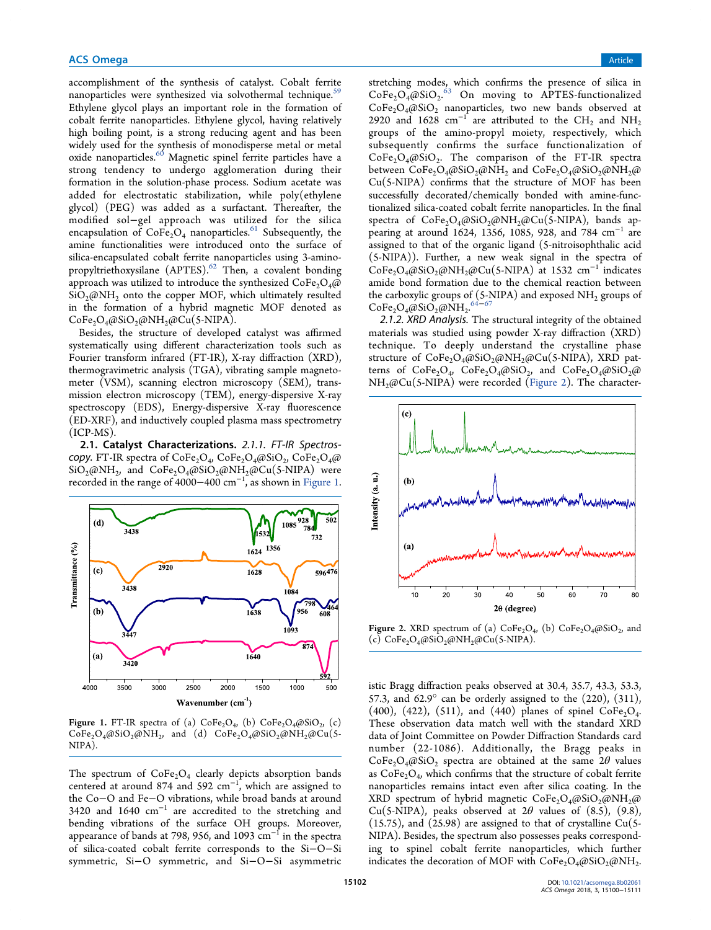accomplishment of the synthesis of catalyst. Cobalt ferrite nanoparticles were synthesized via solvothermal technique.<sup>59</sup> Ethylene glycol plays an important role in the formation of cobalt ferrite nanoparticles. Ethylene glycol, having relatively high boiling point, is a strong reducing agent and has been widely used for the synthesis of monodisperse metal or metal oxide nanoparticles.<sup>60</sup> Magnetic spinel ferrite particles have a strong tendency to undergo agglomeration during their formation in the solution-phase process. Sodium acetate was added for electrostatic stabilization, while poly(ethylene glycol) (PEG) was added as a surfactant. Thereafter, the modified sol−gel approach was utilized for the silica encapsulation of  $\widehat{\text{CoFe}_2\text{O}_4}$  nanoparticles.<sup>61</sup> Subsequently, the amine functionalities were introduced onto the surface of silica-encapsulated cobalt ferrite nanoparticles using 3-aminopropyltriethoxysilane (APTES).<sup>62</sup> Then, a covalent bonding approach was utilized to introduce the synthesized  $\text{CoFe}_2\text{O}_4\text{@}$  $SiO<sub>2</sub>(\omega N)H<sub>2</sub>$  onto the copper MOF, which ultimately resulted in the formation of a hybrid magnetic MOF denoted as  $CoFe<sub>2</sub>O<sub>4</sub>(@SiO<sub>2</sub>(@NH<sub>2</sub>(@Cu(5-NIPA)).$ 

Besides, the structure of developed catalyst was affirmed systematically using different characterization tools such as Fourier transform infrared (FT-IR), X-ray diffraction (XRD), thermogravimetric analysis (TGA), vibrating sample magnetometer (VSM), scanning electron microscopy (SEM), transmission electron microscopy (TEM), energy-dispersive X-ray spectroscopy (EDS), Energy-dispersive X-ray fluorescence (ED-XRF), and inductively coupled plasma mass spectrometry (ICP-MS).

2.1. Catalyst Characterizations. 2.1.1. FT-IR Spectroscopy. FT-IR spectra of  $\text{CoFe}_2\text{O}_4$ ,  $\text{CoFe}_2\text{O}_4$ @ $\text{SiO}_2$ ,  $\text{CoFe}_2\text{O}_4$ @  $\rm SiO_2(\rm \oslash NH_2)$ , and  $\rm CoFe_2O_4(\rm \oslash SiO_2(\rm \oslash NH_2(\rm \oslash Cu(S\text{-}NIPA))$  were recorded in the range of 4000–400 cm<sup>-1</sup>, as shown in Figure 1.



**Figure 1.** FT-IR spectra of (a)  $\text{CoFe}_2\text{O}_4$ , (b)  $\text{CoFe}_2\text{O}_4$ @SiO<sub>2</sub>, (c)  $CoFe_2O_4@SiO_2@NH_2$ , and (d)  $CoFe_2O_4@SiO_2@NH_2@Cu(5-$ NIPA).

The spectrum of  $\text{CoFe}_2\text{O}_4$  clearly depicts absorption bands centered at around 874 and 592  $\text{cm}^{-1}$ , which are assigned to the Co−O and Fe−O vibrations, while broad bands at around 3420 and 1640 cm<sup>−</sup><sup>1</sup> are accredited to the stretching and bending vibrations of the surface OH groups. Moreover, appearance of bands at 798, 956, and 1093  $cm^{-1}$  in the spectra of silica-coated cobalt ferrite corresponds to the Si−O−Si symmetric, Si−O symmetric, and Si−O−Si asymmetric

stretching modes, which confirms the presence of silica in  $CoFe<sub>2</sub>O<sub>4</sub>(@SiO<sub>2</sub>.<sup>63</sup> On moving to APTES-functionalized$  $CoFe<sub>2</sub>O<sub>4</sub>(@SiO<sub>2</sub>)$  nanoparticles, two new bands observed at 2920 and 1628  $\text{cm}^{-1}$  are attributed to the CH<sub>2</sub> and NH<sub>2</sub> groups of the amino-propyl moiety, respectively, which subsequently confirms the surface functionalization of  $CoFe<sub>2</sub>O<sub>4</sub>@SiO<sub>2</sub>$ . The comparison of the FT-IR spectra between  $\mathrm{CoFe_{2}O_{4}}$ @SiO $_{2}$ @NH $_{2}$  and  $\mathrm{CoFe_{2}O_{4}}$ @SiO $_{2}$ @NH $_{2}$ @ Cu(5-NIPA) confirms that the structure of MOF has been successfully decorated/chemically bonded with amine-functionalized silica-coated cobalt ferrite nanoparticles. In the final spectra of  $CoFe<sub>2</sub>O<sub>4</sub>(@SiO<sub>2</sub>(@NH<sub>2</sub>(@Cu(S-NIPA))$ , bands appearing at around 1624, 1356, 1085, 928, and 784 cm<sup>-1</sup> are assigned to that of the organic ligand (5-nitroisophthalic acid (5-NIPA)). Further, a new weak signal in the spectra of  $\text{CoFe}_2\text{O}_4(\omega\text{SiO}_2\omega\text{NH}_2\omega\text{Cu(S-NIPA)}$  at 1532 cm<sup>-1</sup> indicates amide bond formation due to the chemical reaction between the carboxylic groups of (5-NIPA) and exposed NH<sub>2</sub> groups of<br>CoEe O ⊚SiO ⊚NH<sup>64−67</sup>  $CoFe<sub>2</sub>O<sub>4</sub>(@SiO<sub>2</sub>(@NH<sub>2</sub>.$ 

2.1.2. XRD Analysis. The structural integrity of the obtained materials was studied using powder X-ray diffraction (XRD) technique. To deeply understand the crystalline phase structure of  $CoFe<sub>2</sub>O<sub>4</sub>(@SiO<sub>2</sub>(@NH<sub>2</sub>(@Cu(5-NIPA)), XRD$  patterns of  $\text{CoFe}_2\text{O}_4$ ,  $\text{CoFe}_2\text{O}_4$ @SiO<sub>2</sub>, and  $\text{CoFe}_2\text{O}_4$ @SiO<sub>2</sub>@  $NH<sub>2</sub>(Q)$ @Cu(5-NIPA) were recorded (Figure 2). The character-



**Figure 2.** XRD spectrum of (a)  $\text{CoFe}_2\text{O}_4$ , (b)  $\text{CoFe}_2\text{O}_4$ @SiO<sub>2</sub>, and (c)  $CoFe<sub>2</sub>O<sub>4</sub>(@SiO<sub>2</sub>(@NH<sub>2</sub>(@Cu(S-NIPA)).$ 

istic Bragg diffraction peaks observed at 30.4, 35.7, 43.3, 53.3, 57.3, and 62.9 $^{\circ}$  can be orderly assigned to the (220), (311), (400), (422), (511), and (440) planes of spinel  $\text{CoFe}_2\text{O}_4$ . These observation data match well with the standard XRD data of Joint Committee on Powder Diffraction Standards card number (22-1086). Additionally, the Bragg peaks in  $\text{CoFe}_2\text{O}_4 \text{ } \text{\o}$  ( $\text{O}_2$  spectra are obtained at the same  $2\theta$  values as  $\tilde{\text{CoFe}_2\text{O}_4}$ , which confirms that the structure of cobalt ferrite nanoparticles remains intact even after silica coating. In the XRD spectrum of hybrid magnetic  $CoFe<sub>2</sub>O<sub>4</sub>(@SiO<sub>2</sub>(@NH<sub>2</sub>(@Fe<sub>2</sub>CO<sub>4</sub>))$ Cu(5-NIPA), peaks observed at  $2\theta$  values of (8.5), (9.8),  $(15.75)$ , and  $(25.98)$  are assigned to that of crystalline Cu(5-NIPA). Besides, the spectrum also possesses peaks corresponding to spinel cobalt ferrite nanoparticles, which further indicates the decoration of MOF with  $\text{CoFe}_2\text{O}_4@{\text{SiO}_2@{\text{NH}_2}}$ .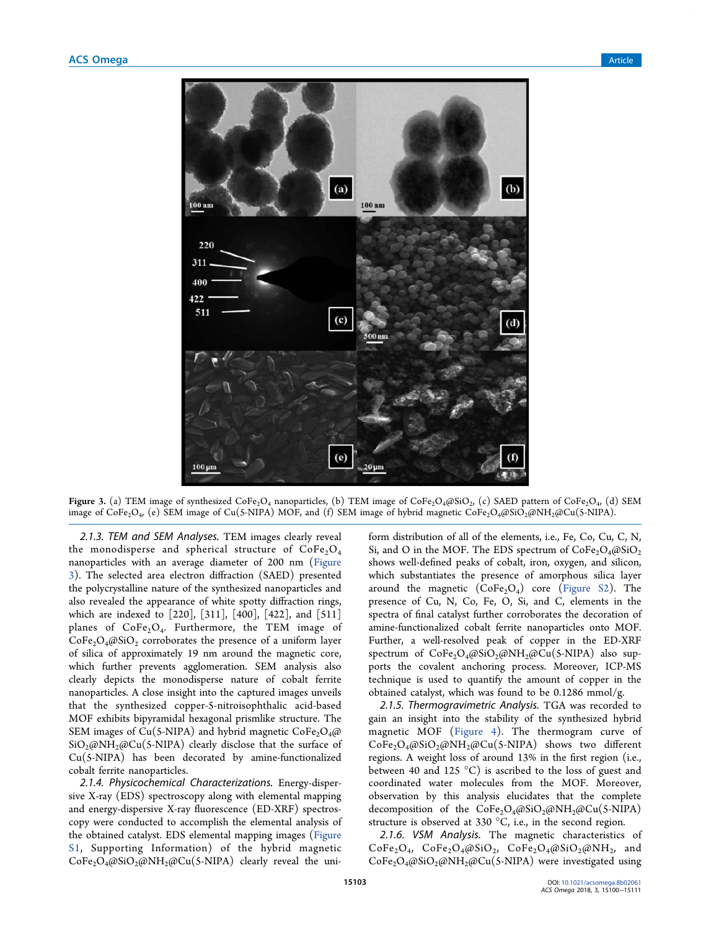

**Figure 3.** (a) TEM image of synthesized  $\text{CoFe}_2\text{O}_4$  nanoparticles, (b) TEM image of  $\text{CoFe}_2\text{O}_4$ @SiO $_2$ , (c) SAED pattern of  $\text{CoFe}_2\text{O}_4$ , (d) SEM image of  $\rm{CoFe_2O_4}$ , (e) SEM image of Cu(5-NIPA) MOF, and (f) SEM image of hybrid magnetic  $\rm{CoFe_2O_4}$ @SiO $_2$ @NH $_2$ @Cu(5-NIPA).

2.1.3. TEM and SEM Analyses. TEM images clearly reveal the monodisperse and spherical structure of  $CoFe<sub>2</sub>O<sub>4</sub>$ nanoparticles with an average diameter of 200 nm (Figure 3). The selected area electron diffraction (SAED) presented the polycrystalline nature of the synthesized nanoparticles and also revealed the appearance of white spotty diffraction rings, which are indexed to [220], [311], [400], [422], and [511] planes of  $\text{CoFe}_2\text{O}_4$ . Furthermore, the TEM image of  $CoFe<sub>2</sub>O<sub>4</sub>(@SiO<sub>2</sub>)$  corroborates the presence of a uniform layer of silica of approximately 19 nm around the magnetic core, which further prevents agglomeration. SEM analysis also clearly depicts the monodisperse nature of cobalt ferrite nanoparticles. A close insight into the captured images unveils that the synthesized copper-5-nitroisophthalic acid-based MOF exhibits bipyramidal hexagonal prismlike structure. The SEM images of Cu(5-NIPA) and hybrid magnetic  $\text{CoFe}_2\text{O}_4$ @  $SiO<sub>2</sub>(\omega NH<sub>2</sub>(\omega Cu(5-NIPA))$  clearly disclose that the surface of Cu(5-NIPA) has been decorated by amine-functionalized cobalt ferrite nanoparticles.

2.1.4. Physicochemical Characterizations. Energy-dispersive X-ray (EDS) spectroscopy along with elemental mapping and energy-dispersive X-ray fluorescence (ED-XRF) spectroscopy were conducted to accomplish the elemental analysis of the obtained catalyst. EDS elemental mapping images (Figure S1, Supporting Information) of the hybrid magnetic  $CoFe<sub>2</sub>O<sub>4</sub>(@SiO<sub>2</sub>(@NH<sub>2</sub>(@Cu(5-NIPA) clearly reveal the uni-$  form distribution of all of the elements, i.e., Fe, Co, Cu, C, N, Si, and O in the MOF. The EDS spectrum of  $\text{CoFe}_2\text{O}_4@{\text{SiO}_2}$ shows well-defined peaks of cobalt, iron, oxygen, and silicon, which substantiates the presence of amorphous silica layer around the magnetic  $(CoFe<sub>2</sub>O<sub>4</sub>)$  core (Figure S2). The presence of Cu, N, Co, Fe, O, Si, and C, elements in the spectra of final catalyst further corroborates the decoration of amine-functionalized cobalt ferrite nanoparticles onto MOF. Further, a well-resolved peak of copper in the ED-XRF spectrum of  $CoFe<sub>2</sub>O<sub>4</sub>(@SiO<sub>2</sub>(@NH<sub>2</sub>(@Cu(S-NIPA))$  also supports the covalent anchoring process. Moreover, ICP-MS technique is used to quantify the amount of copper in the obtained catalyst, which was found to be 0.1286 mmol/g.

2.1.5. Thermogravimetric Analysis. TGA was recorded to gain an insight into the stability of the synthesized hybrid magnetic MOF (Figure 4). The thermogram curve of  $CoFe<sub>2</sub>O<sub>4</sub>(@SiO<sub>2</sub>(@NH<sub>2</sub>(@Cu(5-NIPA)$  shows two different regions. A weight loss of around 13% in the first region (i.e., between 40 and 125 °C) is ascribed to the loss of guest and coordinated water molecules from the MOF. Moreover, observation by this analysis elucidates that the complete decomposition of the  $CoFe<sub>2</sub>O<sub>4</sub>(@SiO<sub>2</sub>(@NH<sub>2</sub>(@Cu(5-NIPA))$ structure is observed at 330 °C, i.e., in the second region.

2.1.6. VSM Analysis. The magnetic characteristics of  $CoFe<sub>2</sub>O<sub>4</sub>$ ,  $CoFe<sub>2</sub>O<sub>4</sub>(@SiO<sub>2</sub>$ ,  $CoFe<sub>2</sub>O<sub>4</sub>(@SiO<sub>2</sub>(@NH<sub>2</sub>$ , and  $CoFe<sub>2</sub>O<sub>4</sub>(@SiO<sub>2</sub>(@NH<sub>2</sub>(@Cu(5-NIPA) were investigated using$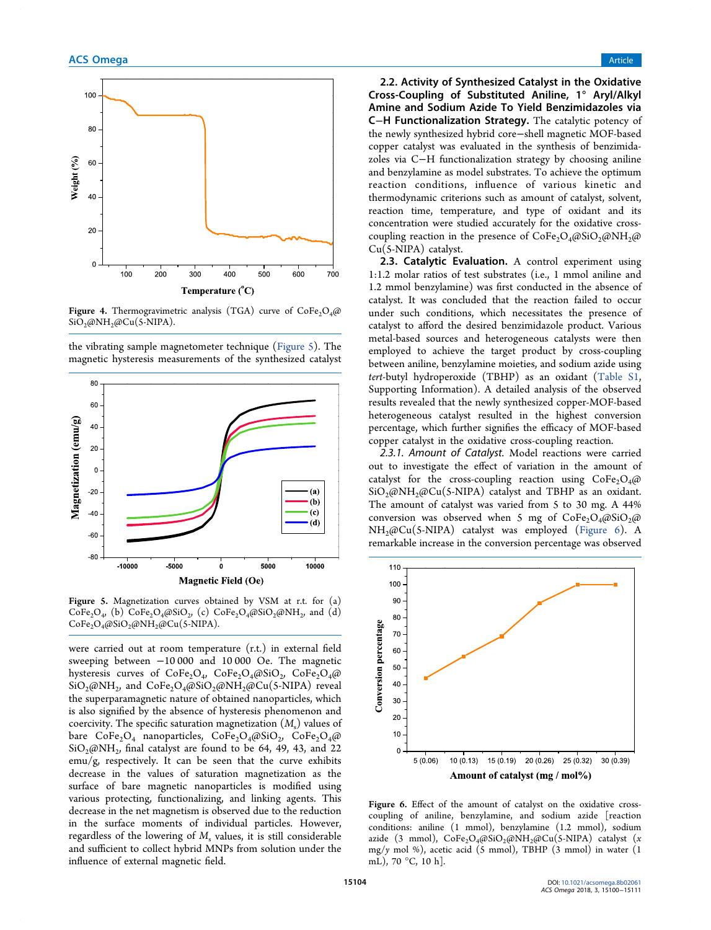

Figure 4. Thermogravimetric analysis (TGA) curve of  $\text{CoFe}_2\text{O}_4\text{@}$  $SiO<sub>2</sub>$ @NH<sub>2</sub>@Cu(5-NIPA).

the vibrating sample magnetometer technique (Figure 5). The magnetic hysteresis measurements of the synthesized catalyst



Figure 5. Magnetization curves obtained by VSM at r.t. for (a)  $\text{CoFe}_2\text{O}_4$ , (b)  $\text{CoFe}_2\text{O}_4$ @SiO<sub>2</sub>, (c)  $\text{CoFe}_2\text{O}_4$ @SiO<sub>2</sub>@NH<sub>2</sub>, and (d)  $CoFe<sub>2</sub>O<sub>4</sub>(@SiO<sub>2</sub>(@NH<sub>2</sub>(@Cu(5-NIPA)).$ 

were carried out at room temperature (r.t.) in external field sweeping between −10 000 and 10 000 Oe. The magnetic hysteresis curves of  $CoFe<sub>2</sub>O<sub>4</sub>$ ,  $CoFe<sub>2</sub>O<sub>4</sub>(@SiO<sub>2</sub>)$ ,  $CoFe<sub>2</sub>O<sub>4</sub>(@SiO<sub>2</sub>)$  $\rm SiO_2\text{\o}NH_2$ , and  $\rm CoFe_2O_4\text{\o}SiO_2\text{\o}NH_2\text{\o}Cu(S-NIPA)$  reveal the superparamagnetic nature of obtained nanoparticles, which is also signified by the absence of hysteresis phenomenon and coercivity. The specific saturation magnetization (*M*<sup>s</sup> ) values of bare  $\text{CoFe}_2\text{O}_4$  nanoparticles,  $\text{CoFe}_2\text{O}_4\text{@}$ SiO<sub>2</sub>,  $\text{CoFe}_2\text{O}_4\text{@}$  $SiO_2(\omega N H_2)$ , final catalyst are found to be 64, 49, 43, and 22 emu/g, respectively. It can be seen that the curve exhibits decrease in the values of saturation magnetization as the surface of bare magnetic nanoparticles is modified using various protecting, functionalizing, and linking agents. This decrease in the net magnetism is observed due to the reduction in the surface moments of individual particles. However, regardless of the lowering of  $M<sub>s</sub>$  values, it is still considerable and sufficient to collect hybrid MNPs from solution under the influence of external magnetic field.

2.2. Activity of Synthesized Catalyst in the Oxidative Cross-Coupling of Substituted Aniline, 1° Aryl/Alkyl Amine and Sodium Azide To Yield Benzimidazoles via C−H Functionalization Strategy. The catalytic potency of the newly synthesized hybrid core−shell magnetic MOF-based copper catalyst was evaluated in the synthesis of benzimidazoles via C−H functionalization strategy by choosing aniline and benzylamine as model substrates. To achieve the optimum reaction conditions, influence of various kinetic and thermodynamic criterions such as amount of catalyst, solvent, reaction time, temperature, and type of oxidant and its concentration were studied accurately for the oxidative crosscoupling reaction in the presence of  $CoFe<sub>2</sub>O<sub>4</sub>(@SiO<sub>2</sub>(@NH<sub>2</sub>(@Fe<sub>2</sub>))$ Cu(5-NIPA) catalyst.

2.3. Catalytic Evaluation. A control experiment using 1:1.2 molar ratios of test substrates (i.e., 1 mmol aniline and 1.2 mmol benzylamine) was first conducted in the absence of catalyst. It was concluded that the reaction failed to occur under such conditions, which necessitates the presence of catalyst to afford the desired benzimidazole product. Various metal-based sources and heterogeneous catalysts were then employed to achieve the target product by cross-coupling between aniline, benzylamine moieties, and sodium azide using *tert*-butyl hydroperoxide (TBHP) as an oxidant (Table S1, Supporting Information). A detailed analysis of the observed results revealed that the newly synthesized copper-MOF-based heterogeneous catalyst resulted in the highest conversion percentage, which further signifies the efficacy of MOF-based copper catalyst in the oxidative cross-coupling reaction.

2.3.1. Amount of Catalyst. Model reactions were carried out to investigate the effect of variation in the amount of catalyst for the cross-coupling reaction using  $CoFe<sub>2</sub>O<sub>4</sub>(a)$  $SiO_2\omega NH_2\omega Cu(5-NIPA)$  catalyst and TBHP as an oxidant. The amount of catalyst was varied from 5 to 30 mg. A 44% conversion was observed when 5 mg of  $CoFe<sub>2</sub>O<sub>4</sub>(@SiO<sub>2</sub>(@)$ NH2@Cu(5-NIPA) catalyst was employed (Figure 6). A remarkable increase in the conversion percentage was observed



Figure 6. Effect of the amount of catalyst on the oxidative crosscoupling of aniline, benzylamine, and sodium azide [reaction conditions: aniline (1 mmol), benzylamine (1.2 mmol), sodium azide (3 mmol), CoFe<sub>2</sub>O<sub>4</sub>@SiO<sub>2</sub>@NH<sub>2</sub>@Cu(5-NIPA) catalyst (*x* mg/*y* mol %), acetic acid (5 mmol), TBHP (3 mmol) in water (1 mL), 70 °C, 10 h].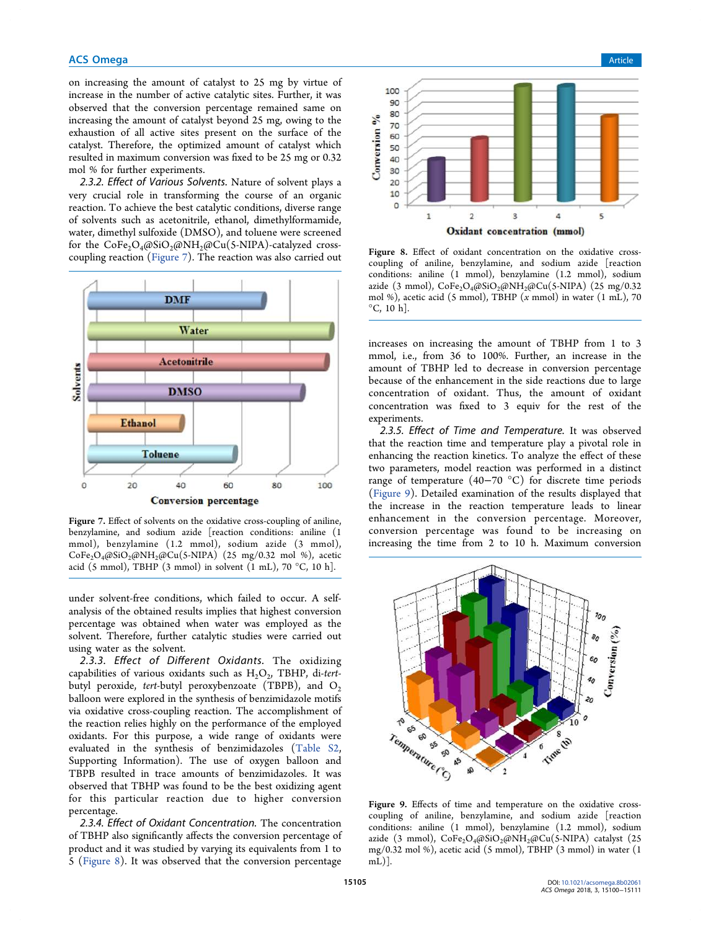#### **ACS Omega** Article **Article** Article **Article Article Article Article Article** Article **Article** Article **Article**

on increasing the amount of catalyst to 25 mg by virtue of increase in the number of active catalytic sites. Further, it was observed that the conversion percentage remained same on increasing the amount of catalyst beyond 25 mg, owing to the exhaustion of all active sites present on the surface of the catalyst. Therefore, the optimized amount of catalyst which resulted in maximum conversion was fixed to be 25 mg or 0.32 mol % for further experiments.

2.3.2. Effect of Various Solvents. Nature of solvent plays a very crucial role in transforming the course of an organic reaction. To achieve the best catalytic conditions, diverse range of solvents such as acetonitrile, ethanol, dimethylformamide, water, dimethyl sulfoxide (DMSO), and toluene were screened for the  $CoFe<sub>2</sub>O<sub>4</sub>(@SiO<sub>2</sub>(@NH<sub>2</sub>(@Cu(S-NIPA)-catalyzed cross$ coupling reaction (Figure 7). The reaction was also carried out



Figure 7. Effect of solvents on the oxidative cross-coupling of aniline, benzylamine, and sodium azide [reaction conditions: aniline (1 mmol), benzylamine (1.2 mmol), sodium azide (3 mmol),  $CoFe<sub>2</sub>O<sub>4</sub>(@SiO<sub>2</sub>(@NH<sub>2</sub>(@Cu(S-NIPA) (25 mg/0.32 mol %), acetic)$ acid (5 mmol), TBHP (3 mmol) in solvent  $(1 \text{ mL})$ , 70 °C, 10 h].

under solvent-free conditions, which failed to occur. A selfanalysis of the obtained results implies that highest conversion percentage was obtained when water was employed as the solvent. Therefore, further catalytic studies were carried out using water as the solvent.

2.3.3. Effect of Different Oxidants. The oxidizing capabilities of various oxidants such as  $H_2O_2$ , TBHP, di-tertbutyl peroxide, *tert*-butyl peroxybenzoate (TBPB), and O<sub>2</sub> balloon were explored in the synthesis of benzimidazole motifs via oxidative cross-coupling reaction. The accomplishment of the reaction relies highly on the performance of the employed oxidants. For this purpose, a wide range of oxidants were evaluated in the synthesis of benzimidazoles (Table S2, Supporting Information). The use of oxygen balloon and TBPB resulted in trace amounts of benzimidazoles. It was observed that TBHP was found to be the best oxidizing agent for this particular reaction due to higher conversion percentage.

2.3.4. Effect of Oxidant Concentration. The concentration of TBHP also significantly affects the conversion percentage of product and it was studied by varying its equivalents from 1 to 5 (Figure 8). It was observed that the conversion percentage



Figure 8. Effect of oxidant concentration on the oxidative crosscoupling of aniline, benzylamine, and sodium azide [reaction conditions: aniline (1 mmol), benzylamine (1.2 mmol), sodium azide (3 mmol),  $\text{CoFe}_2\text{O}_4\omega\text{SiO}_2\omega\text{NH}_2\omega\text{Cu(S-NIPA)}$  (25 mg/0.32 mol %), acetic acid (5 mmol), TBHP (*x* mmol) in water (1 mL), 70  $^{\circ}$ C, 10 h].

increases on increasing the amount of TBHP from 1 to 3 mmol, i.e., from 36 to 100%. Further, an increase in the amount of TBHP led to decrease in conversion percentage because of the enhancement in the side reactions due to large concentration of oxidant. Thus, the amount of oxidant concentration was fixed to 3 equiv for the rest of the experiments.

2.3.5. Effect of Time and Temperature. It was observed that the reaction time and temperature play a pivotal role in enhancing the reaction kinetics. To analyze the effect of these two parameters, model reaction was performed in a distinct range of temperature (40−70 °C) for discrete time periods (Figure 9). Detailed examination of the results displayed that the increase in the reaction temperature leads to linear enhancement in the conversion percentage. Moreover, conversion percentage was found to be increasing on increasing the time from 2 to 10 h. Maximum conversion



Figure 9. Effects of time and temperature on the oxidative crosscoupling of aniline, benzylamine, and sodium azide [reaction conditions: aniline (1 mmol), benzylamine (1.2 mmol), sodium azide (3 mmol),  $CoFe<sub>2</sub>O<sub>4</sub>(@SiO<sub>2</sub>(@NH<sub>2</sub>/@Cu(5-NIPA) catalyst (25$ mg/0.32 mol %), acetic acid (5 mmol), TBHP (3 mmol) in water (1 mL)].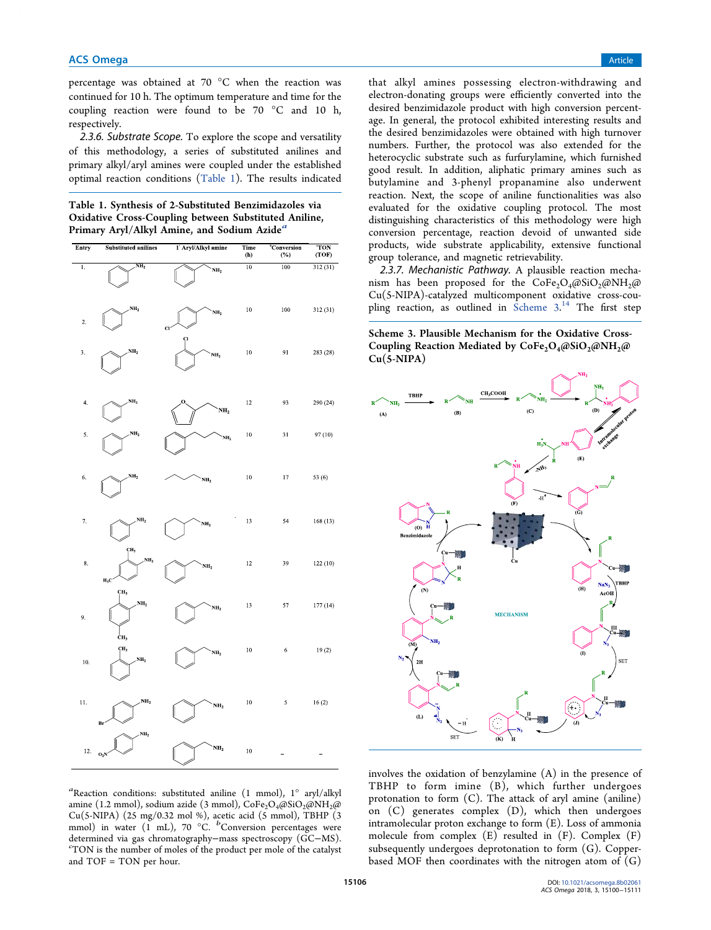percentage was obtained at 70 °C when the reaction was continued for 10 h. The optimum temperature and time for the coupling reaction were found to be 70 °C and 10 h, respectively.

2.3.6. Substrate Scope. To explore the scope and versatility of this methodology, a series of substituted anilines and primary alkyl/aryl amines were coupled under the established optimal reaction conditions (Table 1). The results indicated

Table 1. Synthesis of 2-Substituted Benzimidazoles via Oxidative Cross-Coupling between Substituted Aniline, Primary Aryl/Alkyl Amine, and Sodium Azide<sup>a</sup>

| Entry            | <b>Substituted anilines</b>               | 1 <sup>'</sup> Aryl/Alkyl amine       | Time<br>(h) | <b>"Conversion</b><br>(%) | <b>TON</b><br>(TOF) |
|------------------|-------------------------------------------|---------------------------------------|-------------|---------------------------|---------------------|
| ī.               | NH <sub>2</sub>                           | NH <sub>2</sub>                       | 10          | 100                       | 312(31)             |
| $\mathbf{2}$     | NH <sub>2</sub>                           | NH <sub>2</sub><br>$\mathbf{C}$<br>CI | $10\,$      | 100                       | 312 (31)            |
| 3.               | NH <sub>2</sub>                           | NH <sub>2</sub>                       | 10          | 91                        | 283 (28)            |
| $\overline{4}$ . | NH <sub>2</sub>                           | O,<br>NH <sub>2</sub>                 | 12          | 93                        | 290 (24)            |
| 5.               | NH <sub>2</sub>                           | NH <sub>2</sub>                       | 10          | 31                        | 97 (10)             |
| 6.               | NH <sub>2</sub>                           | NH <sub>2</sub>                       | $10\,$      | 17                        | 53 (6)              |
| 7.               | NH <sub>2</sub><br>ÇН <sub>3</sub>        | NH <sub>2</sub>                       | 13          | 54                        | 168(13)             |
| 8.               | NH <sub>2</sub><br>$H_3C'$                | NH <sub>2</sub>                       | 12          | 39                        | 122(10)             |
| 9.               | CH <sub>3</sub><br>NH <sub>2</sub><br>ĊН3 | NH <sub>2</sub>                       | 13          | 57                        | 177(14)             |
| 10.              | CH <sub>3</sub><br>NH <sub>2</sub>        | NH <sub>2</sub>                       | 10          | 6                         | 19(2)               |
| 11.              | NH <sub>2</sub><br>Bı<br>NH <sub>2</sub>  | NH <sub>2</sub>                       | 10          | $\sqrt{5}$                | 16(2)               |
| 12.              | $O_2N$                                    | NH <sub>2</sub>                       | 10          |                           |                     |

that alkyl amines possessing electron-withdrawing and electron-donating groups were efficiently converted into the desired benzimidazole product with high conversion percentage. In general, the protocol exhibited interesting results and the desired benzimidazoles were obtained with high turnover numbers. Further, the protocol was also extended for the heterocyclic substrate such as furfurylamine, which furnished good result. In addition, aliphatic primary amines such as butylamine and 3-phenyl propanamine also underwent reaction. Next, the scope of aniline functionalities was also evaluated for the oxidative coupling protocol. The most distinguishing characteristics of this methodology were high conversion percentage, reaction devoid of unwanted side products, wide substrate applicability, extensive functional group tolerance, and magnetic retrievability.

2.3.7. Mechanistic Pathway. A plausible reaction mechanism has been proposed for the CoFe<sub>2</sub>O<sub>4</sub>@SiO<sub>2</sub>@NH<sub>2</sub>@ Cu(5-NIPA)-catalyzed multicomponent oxidative cross-coupling reaction, as outlined in Scheme 3.<sup>14</sup> The first step

Scheme 3. Plausible Mechanism for the Oxidative Cross-Coupling Reaction Mediated by  $CoFe<sub>2</sub>O<sub>4</sub>(@SiO<sub>2</sub>(@NH<sub>2</sub>(@Fe<sub>2</sub>CO<sub>4</sub>))$  $Cu(5-NIPA)$ 





involves the oxidation of benzylamine (A) in the presence of TBHP to form imine (B), which further undergoes protonation to form (C). The attack of aryl amine (aniline) on (C) generates complex (D), which then undergoes intramolecular proton exchange to form (E). Loss of ammonia molecule from complex  $(E)$  resulted in  $(F)$ . Complex  $(F)$ subsequently undergoes deprotonation to form (G). Copperbased MOF then coordinates with the nitrogen atom of  $(G)$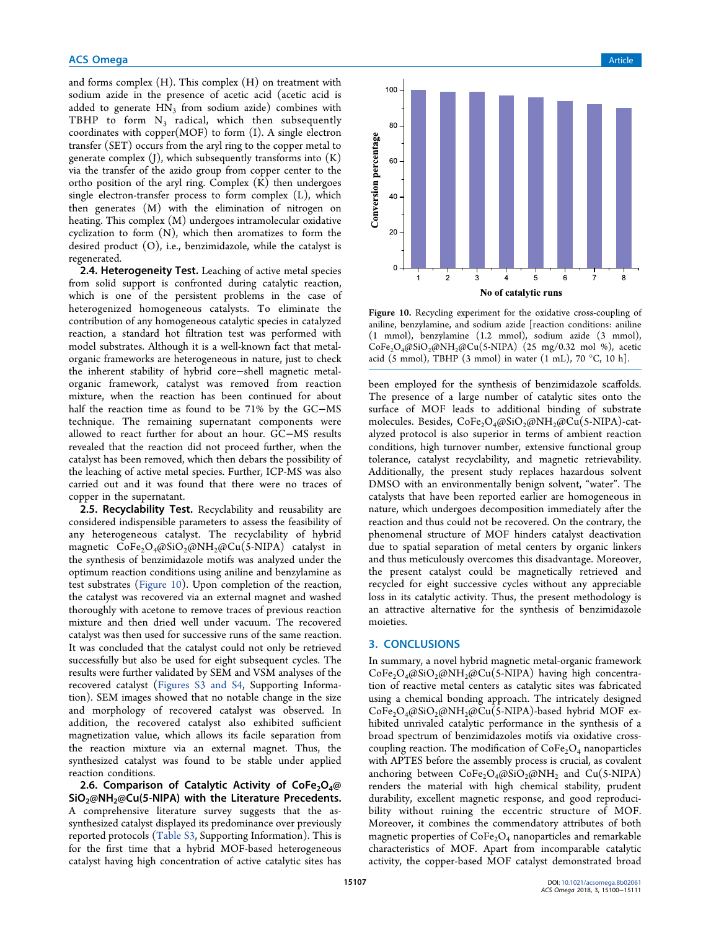and forms complex (H). This complex (H) on treatment with sodium azide in the presence of acetic acid (acetic acid is added to generate  $\text{HN}_3$  from sodium azide) combines with TBHP to form  $N_3$  radical, which then subsequently coordinates with copper(MOF) to form (I). A single electron transfer (SET) occurs from the aryl ring to the copper metal to generate complex  $(I)$ , which subsequently transforms into  $(K)$ via the transfer of the azido group from copper center to the ortho position of the aryl ring. Complex (K) then undergoes single electron-transfer process to form complex (L), which then generates (M) with the elimination of nitrogen on heating. This complex (M) undergoes intramolecular oxidative cyclization to form (N), which then aromatizes to form the desired product (O), i.e., benzimidazole, while the catalyst is regenerated.

2.4. Heterogeneity Test. Leaching of active metal species from solid support is confronted during catalytic reaction, which is one of the persistent problems in the case of heterogenized homogeneous catalysts. To eliminate the contribution of any homogeneous catalytic species in catalyzed reaction, a standard hot filtration test was performed with model substrates. Although it is a well-known fact that metalorganic frameworks are heterogeneous in nature, just to check the inherent stability of hybrid core−shell magnetic metalorganic framework, catalyst was removed from reaction mixture, when the reaction has been continued for about half the reaction time as found to be 71% by the GC−MS technique. The remaining supernatant components were allowed to react further for about an hour. GC−MS results revealed that the reaction did not proceed further, when the catalyst has been removed, which then debars the possibility of the leaching of active metal species. Further, ICP-MS was also carried out and it was found that there were no traces of copper in the supernatant.

2.5. Recyclability Test. Recyclability and reusability are considered indispensible parameters to assess the feasibility of any heterogeneous catalyst. The recyclability of hybrid magnetic  $CoFe<sub>2</sub>O<sub>4</sub>(@SiO<sub>2</sub>(@NH<sub>2</sub>(@Cu(5-NIPA) catalyst in$ the synthesis of benzimidazole motifs was analyzed under the optimum reaction conditions using aniline and benzylamine as test substrates (Figure 10). Upon completion of the reaction, the catalyst was recovered via an external magnet and washed thoroughly with acetone to remove traces of previous reaction mixture and then dried well under vacuum. The recovered catalyst was then used for successive runs of the same reaction. It was concluded that the catalyst could not only be retrieved successfully but also be used for eight subsequent cycles. The results were further validated by SEM and VSM analyses of the recovered catalyst (Figures S3 and S4, Supporting Information). SEM images showed that no notable change in the size and morphology of recovered catalyst was observed. In addition, the recovered catalyst also exhibited sufficient magnetization value, which allows its facile separation from the reaction mixture via an external magnet. Thus, the synthesized catalyst was found to be stable under applied reaction conditions.

2.6. Comparison of Catalytic Activity of CoFe<sub>2</sub>O<sub>4</sub>@  $SiO<sub>2</sub>@NH<sub>2</sub>@Cu(5-NIPA)$  with the Literature Precedents. A comprehensive literature survey suggests that the assynthesized catalyst displayed its predominance over previously reported protocols (Table S3, Supporting Information). This is for the first time that a hybrid MOF-based heterogeneous catalyst having high concentration of active catalytic sites has



Figure 10. Recycling experiment for the oxidative cross-coupling of aniline, benzylamine, and sodium azide [reaction conditions: aniline (1 mmol), benzylamine (1.2 mmol), sodium azide (3 mmol),  $CoFe<sub>2</sub>O<sub>4</sub>(@SiO<sub>2</sub>(@NH<sub>2</sub>(@Cu(5-NIPA) (25 mg/0.32 mol %), acetic$ acid (5 mmol), TBHP (3 mmol) in water (1 mL), 70  $^{\circ}$ C, 10 h].

been employed for the synthesis of benzimidazole scaffolds. The presence of a large number of catalytic sites onto the surface of MOF leads to additional binding of substrate molecules. Besides, CoFe<sub>2</sub>O<sub>4</sub>@SiO<sub>2</sub>@NH<sub>2</sub>@Cu(5-NIPA)-catalyzed protocol is also superior in terms of ambient reaction conditions, high turnover number, extensive functional group tolerance, catalyst recyclability, and magnetic retrievability. Additionally, the present study replaces hazardous solvent DMSO with an environmentally benign solvent, "water". The catalysts that have been reported earlier are homogeneous in nature, which undergoes decomposition immediately after the reaction and thus could not be recovered. On the contrary, the phenomenal structure of MOF hinders catalyst deactivation due to spatial separation of metal centers by organic linkers and thus meticulously overcomes this disadvantage. Moreover, the present catalyst could be magnetically retrieved and recycled for eight successive cycles without any appreciable loss in its catalytic activity. Thus, the present methodology is an attractive alternative for the synthesis of benzimidazole moieties.

#### 3. CONCLUSIONS

In summary, a novel hybrid magnetic metal-organic framework  $CoFe<sub>2</sub>O<sub>4</sub>(@SiO<sub>2</sub>(@NH<sub>2</sub>(@Cu(S-NIPA) having high concentra$ tion of reactive metal centers as catalytic sites was fabricated using a chemical bonding approach. The intricately designed  $CoFe<sub>2</sub>O<sub>4</sub>(@SiO<sub>2</sub>(@NH<sub>2</sub>(@Cu(5-NIPA)-based hybrid MOF ex$ hibited unrivaled catalytic performance in the synthesis of a broad spectrum of benzimidazoles motifs via oxidative crosscoupling reaction. The modification of  $CoFe<sub>2</sub>O<sub>4</sub>$  nanoparticles with APTES before the assembly process is crucial, as covalent anchoring between  $\text{CoFe}_2\text{O}_4\text{/@SiO}_2\text{/@NH}_2$  and  $\text{Cu(S-NIPA)}$ renders the material with high chemical stability, prudent durability, excellent magnetic response, and good reproducibility without ruining the eccentric structure of MOF. Moreover, it combines the commendatory attributes of both magnetic properties of  $CoFe<sub>2</sub>O<sub>4</sub>$  nanoparticles and remarkable characteristics of MOF. Apart from incomparable catalytic activity, the copper-based MOF catalyst demonstrated broad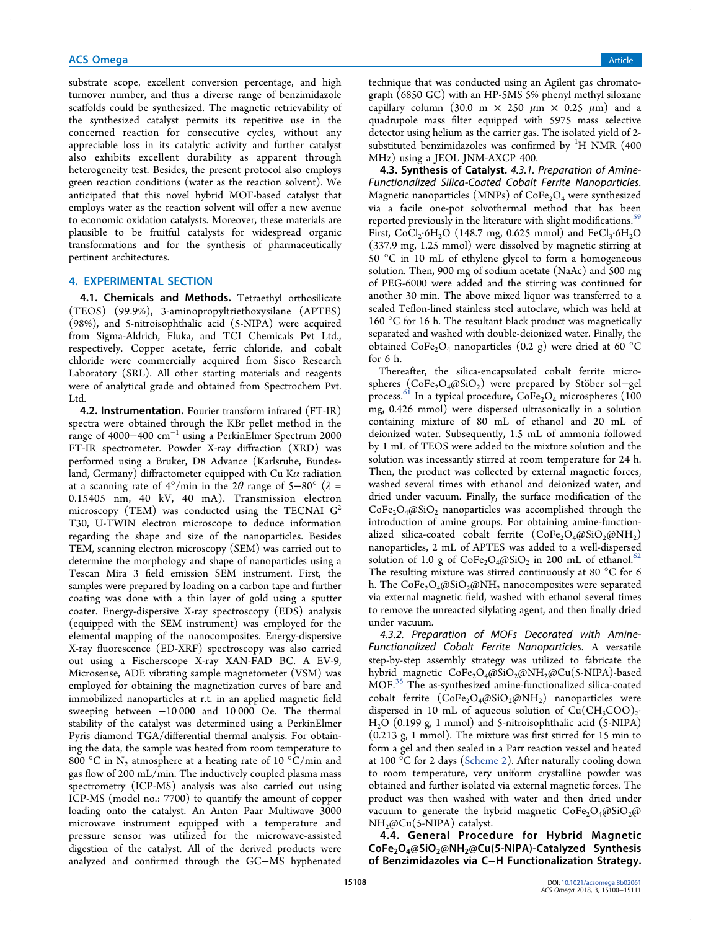substrate scope, excellent conversion percentage, and high turnover number, and thus a diverse range of benzimidazole scaffolds could be synthesized. The magnetic retrievability of the synthesized catalyst permits its repetitive use in the concerned reaction for consecutive cycles, without any appreciable loss in its catalytic activity and further catalyst also exhibits excellent durability as apparent through heterogeneity test. Besides, the present protocol also employs green reaction conditions (water as the reaction solvent). We anticipated that this novel hybrid MOF-based catalyst that employs water as the reaction solvent will offer a new avenue to economic oxidation catalysts. Moreover, these materials are plausible to be fruitful catalysts for widespread organic transformations and for the synthesis of pharmaceutically pertinent architectures.

#### 4. EXPERIMENTAL SECTION

4.1. Chemicals and Methods. Tetraethyl orthosilicate (TEOS) (99.9%), 3-aminopropyltriethoxysilane (APTES) (98%), and 5-nitroisophthalic acid (5-NIPA) were acquired from Sigma-Aldrich, Fluka, and TCI Chemicals Pvt Ltd., respectively. Copper acetate, ferric chloride, and cobalt chloride were commercially acquired from Sisco Research Laboratory (SRL). All other starting materials and reagents were of analytical grade and obtained from Spectrochem Pvt. Ltd.

**4.2. Instrumentation.** Fourier transform infrared (FT-IR) spectra were obtained through the KBr pellet method in the range of 4000−400 cm<sup>−</sup><sup>1</sup> using a PerkinElmer Spectrum 2000 FT-IR spectrometer. Powder X-ray diffraction (XRD) was performed using a Bruker, D8 Advance (Karlsruhe, Bundesland, Germany) diffractometer equipped with Cu K $\alpha$  radiation at a scanning rate of  $4^{\circ}/$ min in the 2 $\theta$  range of 5−80° ( $\lambda$  = 0.15405 nm, 40 kV, 40 mA). Transmission electron microscopy (TEM) was conducted using the TECNAI  $G<sup>2</sup>$ T30, U-TWIN electron microscope to deduce information regarding the shape and size of the nanoparticles. Besides TEM, scanning electron microscopy (SEM) was carried out to determine the morphology and shape of nanoparticles using a Tescan Mira 3 field emission SEM instrument. First, the samples were prepared by loading on a carbon tape and further coating was done with a thin layer of gold using a sputter coater. Energy-dispersive X-ray spectroscopy (EDS) analysis (equipped with the SEM instrument) was employed for the elemental mapping of the nanocomposites. Energy-dispersive X-ray fluorescence (ED-XRF) spectroscopy was also carried out using a Fischerscope X-ray XAN-FAD BC. A EV-9, Microsense, ADE vibrating sample magnetometer (VSM) was employed for obtaining the magnetization curves of bare and immobilized nanoparticles at r.t. in an applied magnetic field sweeping between −10 000 and 10 000 Oe. The thermal stability of the catalyst was determined using a PerkinElmer Pyris diamond TGA/differential thermal analysis. For obtaining the data, the sample was heated from room temperature to  $800\text{ °C}$  in  $\text{N}_2$  atmosphere at a heating rate of 10  $\text{ °C/min}$  and gas flow of 200 mL/min. The inductively coupled plasma mass spectrometry (ICP-MS) analysis was also carried out using ICP-MS (model no.: 7700) to quantify the amount of copper loading onto the catalyst. An Anton Paar Multiwave 3000 microwave instrument equipped with a temperature and pressure sensor was utilized for the microwave-assisted digestion of the catalyst. All of the derived products were analyzed and confirmed through the GC−MS hyphenated

technique that was conducted using an Agilent gas chromatograph (6850 GC) with an HP-5MS 5% phenyl methyl siloxane capillary column (30.0 m  $\times$  250  $\mu$ m  $\times$  0.25  $\mu$ m) and a quadrupole mass filter equipped with 5975 mass selective detector using helium as the carrier gas. The isolated yield of 2 substituted benzimidazoles was confirmed by  ${}^{1}H$  NMR (400) MHz) using a JEOL JNM-AXCP 400.

4.3. Synthesis of Catalyst. 4.3.1. Preparation of Amine-Functionalized Silica-Coated Cobalt Ferrite Nanoparticles. Magnetic nanoparticles (MNPs) of  $CoFe<sub>2</sub>O<sub>4</sub>$  were synthesized via a facile one-pot solvothermal method that has been reported previously in the literature with slight modifications.<sup>59</sup> First,  $CoCl_2·6H_2O$  (148.7 mg, 0.625 mmol) and  $FeCl_3·6H_2O$ (337.9 mg, 1.25 mmol) were dissolved by magnetic stirring at 50 °C in 10 mL of ethylene glycol to form a homogeneous solution. Then, 900 mg of sodium acetate (NaAc) and 500 mg of PEG-6000 were added and the stirring was continued for another 30 min. The above mixed liquor was transferred to a sealed Teflon-lined stainless steel autoclave, which was held at 160 °C for 16 h. The resultant black product was magnetically separated and washed with double-deionized water. Finally, the obtained CoFe<sub>2</sub>O<sub>4</sub> nanoparticles (0.2 g) were dried at 60 °C for 6 h.

Thereafter, the silica-encapsulated cobalt ferrite microspheres (CoFe<sub>2</sub>O<sub>4</sub>@SiO<sub>2</sub>) were prepared by Stöber sol–gel process.<sup>61</sup> In a typical procedure,  $\text{CoFe}_2\text{O}_4$  microspheres (100 mg, 0.426 mmol) were dispersed ultrasonically in a solution containing mixture of 80 mL of ethanol and 20 mL of deionized water. Subsequently, 1.5 mL of ammonia followed by 1 mL of TEOS were added to the mixture solution and the solution was incessantly stirred at room temperature for 24 h. Then, the product was collected by external magnetic forces, washed several times with ethanol and deionized water, and dried under vacuum. Finally, the surface modification of the  $CoFe<sub>2</sub>O<sub>4</sub>(@SiO<sub>2</sub>)$  nanoparticles was accomplished through the introduction of amine groups. For obtaining amine-functionalized silica-coated cobalt ferrite  $(CoFe<sub>2</sub>O<sub>4</sub>(@SiO<sub>2</sub>(@NH<sub>2</sub>))$ nanoparticles, 2 mL of APTES was added to a well-dispersed solution of 1.0 g of  $\text{CoFe}_2\text{O}_4(\emptyset \text{SiO}_2)$  in 200 mL of ethanol.<sup>62</sup> The resulting mixture was stirred continuously at 80 °C for 6 h. The  $CoFe<sub>2</sub>O<sub>4</sub>(@SiO<sub>2</sub>(@NH<sub>2</sub> nanocomposites)$  were separated via external magnetic field, washed with ethanol several times to remove the unreacted silylating agent, and then finally dried under vacuum.

4.3.2. Preparation of MOFs Decorated with Amine-Functionalized Cobalt Ferrite Nanoparticles. A versatile step-by-step assembly strategy was utilized to fabricate the hybrid magnetic CoFe<sub>2</sub>O<sub>4</sub>@SiO<sub>2</sub>@NH<sub>2</sub>@Cu(5-NIPA)-based MOF.<sup>35</sup> The as-synthesized amine-functionalized silica-coated cobalt ferrite  $(CoFe<sub>2</sub>O<sub>4</sub>(@SiO<sub>2</sub>(@NH<sub>2</sub>)$  nanoparticles were dispersed in 10 mL of aqueous solution of  $Cu(CH_3COO)_2$ . H2O (0.199 g, 1 mmol) and 5-nitroisophthalic acid (5-NIPA) (0.213 g, 1 mmol). The mixture was first stirred for 15 min to form a gel and then sealed in a Parr reaction vessel and heated at 100 °C for 2 days (Scheme 2). After naturally cooling down to room temperature, very uniform crystalline powder was obtained and further isolated via external magnetic forces. The product was then washed with water and then dried under vacuum to generate the hybrid magnetic  $\text{CoFe}_2\text{O}_4\text{@SiO}_2\text{@}$ NH<sub>2</sub>@Cu(5-NIPA) catalyst.

4.4. General Procedure for Hybrid Magnetic CoFe<sub>2</sub>O<sub>4</sub>@SiO<sub>2</sub>@NH<sub>2</sub>@Cu(5-NIPA)-Catalyzed Synthesis of Benzimidazoles via C−H Functionalization Strategy.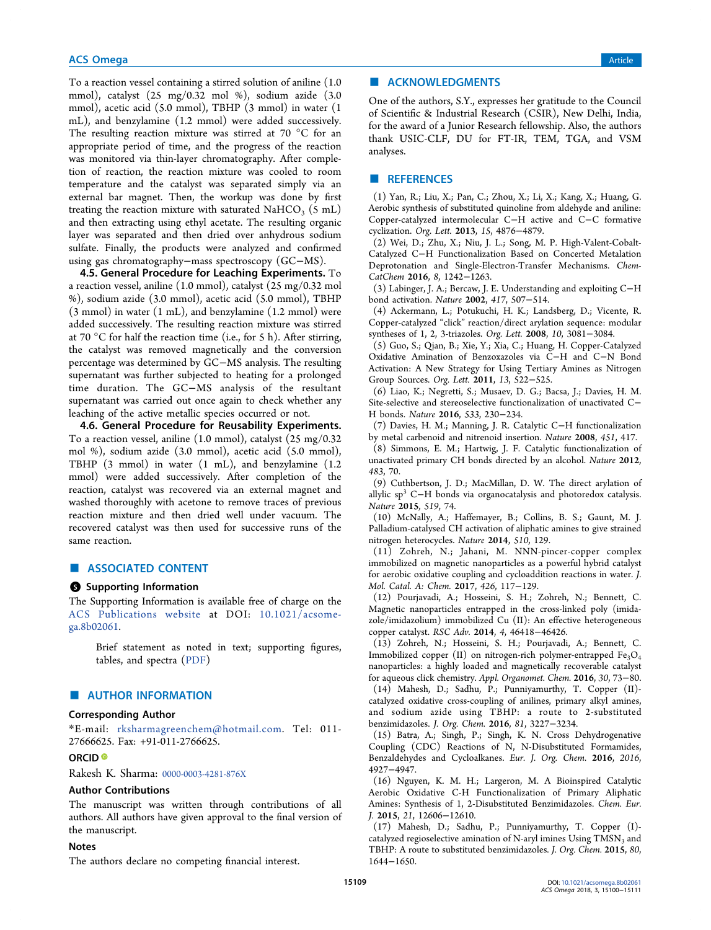To a reaction vessel containing a stirred solution of aniline (1.0 mmol), catalyst (25 mg/0.32 mol %), sodium azide (3.0 mmol), acetic acid (5.0 mmol), TBHP (3 mmol) in water (1 mL), and benzylamine (1.2 mmol) were added successively. The resulting reaction mixture was stirred at 70 °C for an appropriate period of time, and the progress of the reaction was monitored via thin-layer chromatography. After completion of reaction, the reaction mixture was cooled to room temperature and the catalyst was separated simply via an external bar magnet. Then, the workup was done by first treating the reaction mixture with saturated NaHCO<sub>3</sub>  $(5 \text{ mL})$ and then extracting using ethyl acetate. The resulting organic layer was separated and then dried over anhydrous sodium sulfate. Finally, the products were analyzed and confirmed using gas chromatography−mass spectroscopy (GC−MS).

4.5. General Procedure for Leaching Experiments. To a reaction vessel, aniline (1.0 mmol), catalyst (25 mg/0.32 mol %), sodium azide (3.0 mmol), acetic acid (5.0 mmol), TBHP (3 mmol) in water (1 mL), and benzylamine (1.2 mmol) were added successively. The resulting reaction mixture was stirred at 70  $\mathrm{^{\circ}C}$  for half the reaction time (i.e., for 5 h). After stirring, the catalyst was removed magnetically and the conversion percentage was determined by GC−MS analysis. The resulting supernatant was further subjected to heating for a prolonged time duration. The GC−MS analysis of the resultant supernatant was carried out once again to check whether any leaching of the active metallic species occurred or not.

4.6. General Procedure for Reusability Experiments. To a reaction vessel, aniline (1.0 mmol), catalyst (25 mg/0.32 mol %), sodium azide (3.0 mmol), acetic acid (5.0 mmol), TBHP (3 mmol) in water (1 mL), and benzylamine (1.2 mmol) were added successively. After completion of the reaction, catalyst was recovered via an external magnet and washed thoroughly with acetone to remove traces of previous reaction mixture and then dried well under vacuum. The recovered catalyst was then used for successive runs of the same reaction.

## ■ ASSOCIATED CONTENT

#### **S** Supporting Information

The Supporting Information is available free of charge on the ACS Publications website at DOI: 10.1021/acsomega.8b02061.

Brief statement as noted in text; supporting figures, tables, and spectra (PDF)

## ■ AUTHOR INFORMATION

### Corresponding Author

\*E-mail: rksharmagreenchem@hotmail.com. Tel: 011- 27666625. Fax: +91-011-2766625.

## ORCID<sup>®</sup>

Rakesh K. Sharma: 0000-0003-4281-876X

#### Author Contributions

The manuscript was written through contributions of all authors. All authors have given approval to the final version of the manuscript.

## Notes

The authors declare no competing financial interest.

## ■ ACKNOWLEDGMENTS

One of the authors, S.Y., expresses her gratitude to the Council of Scientific & Industrial Research (CSIR), New Delhi, India, for the award of a Junior Research fellowship. Also, the authors thank USIC-CLF, DU for FT-IR, TEM, TGA, and VSM analyses.

#### ■ REFERENCES

(1) Yan, R.; Liu, X.; Pan, C.; Zhou, X.; Li, X.; Kang, X.; Huang, G. Aerobic synthesis of substituted quinoline from aldehyde and aniline: Copper-catalyzed intermolecular C−H active and C−C formative cyclization. *Org. Lett.* 2013, *15*, 4876−4879.

(2) Wei, D.; Zhu, X.; Niu, J. L.; Song, M. P. High-Valent-Cobalt-Catalyzed C−H Functionalization Based on Concerted Metalation Deprotonation and Single-Electron-Transfer Mechanisms. *Chem-CatChem* 2016, *8*, 1242−1263.

(3) Labinger, J. A.; Bercaw, J. E. Understanding and exploiting C−H bond activation. *Nature* 2002, *417*, 507−514.

(4) Ackermann, L.; Potukuchi, H. K.; Landsberg, D.; Vicente, R. Copper-catalyzed "click" reaction/direct arylation sequence: modular syntheses of 1, 2, 3-triazoles. *Org. Lett.* 2008, *10*, 3081−3084.

(5) Guo, S.; Qian, B.; Xie, Y.; Xia, C.; Huang, H. Copper-Catalyzed Oxidative Amination of Benzoxazoles via C−H and C−N Bond Activation: A New Strategy for Using Tertiary Amines as Nitrogen Group Sources. *Org. Lett.* 2011, *13*, 522−525.

(6) Liao, K.; Negretti, S.; Musaev, D. G.; Bacsa, J.; Davies, H. M. Site-selective and stereoselective functionalization of unactivated C− H bonds. *Nature* 2016, *533*, 230−234.

(7) Davies, H. M.; Manning, J. R. Catalytic C−H functionalization by metal carbenoid and nitrenoid insertion. *Nature* 2008, *451*, 417.

(8) Simmons, E. M.; Hartwig, J. F. Catalytic functionalization of unactivated primary CH bonds directed by an alcohol. *Nature* 2012, *483*, 70.

(9) Cuthbertson, J. D.; MacMillan, D. W. The direct arylation of allylic sp<sup>3</sup> C−H bonds via organocatalysis and photoredox catalysis. *Nature* 2015, *519*, 74.

(10) McNally, A.; Haffemayer, B.; Collins, B. S.; Gaunt, M. J. Palladium-catalysed CH activation of aliphatic amines to give strained nitrogen heterocycles. *Nature* 2014, *510*, 129.

(11) Zohreh, N.; Jahani, M. NNN-pincer-copper complex immobilized on magnetic nanoparticles as a powerful hybrid catalyst for aerobic oxidative coupling and cycloaddition reactions in water. *J. Mol. Catal. A: Chem.* 2017, *426*, 117−129.

(12) Pourjavadi, A.; Hosseini, S. H.; Zohreh, N.; Bennett, C. Magnetic nanoparticles entrapped in the cross-linked poly (imidazole/imidazolium) immobilized Cu (II): An effective heterogeneous copper catalyst. *RSC Adv.* 2014, *4*, 46418−46426.

(13) Zohreh, N.; Hosseini, S. H.; Pourjavadi, A.; Bennett, C. Immobilized copper (II) on nitrogen-rich polymer-entrapped Fe<sub>3</sub>O<sub>4</sub> nanoparticles: a highly loaded and magnetically recoverable catalyst for aqueous click chemistry. *Appl. Organomet. Chem.* 2016, *30*, 73−80. (14) Mahesh, D.; Sadhu, P.; Punniyamurthy, T. Copper (II) catalyzed oxidative cross-coupling of anilines, primary alkyl amines, and sodium azide using TBHP: a route to 2-substituted benzimidazoles. *J. Org. Chem.* 2016, *81*, 3227−3234.

(15) Batra, A.; Singh, P.; Singh, K. N. Cross Dehydrogenative Coupling (CDC) Reactions of N, N-Disubstituted Formamides, Benzaldehydes and Cycloalkanes. *Eur. J. Org. Chem.* 2016, *2016*, 4927−4947.

(16) Nguyen, K. M. H.; Largeron, M. A Bioinspired Catalytic Aerobic Oxidative C-H Functionalization of Primary Aliphatic Amines: Synthesis of 1, 2-Disubstituted Benzimidazoles. *Chem. Eur. J.* 2015, *21*, 12606−12610.

(17) Mahesh, D.; Sadhu, P.; Punniyamurthy, T. Copper (I) catalyzed regioselective amination of N-aryl imines Using  $TMSN<sub>3</sub>$  and TBHP: A route to substituted benzimidazoles. *J. Org. Chem.* 2015, *80*, 1644−1650.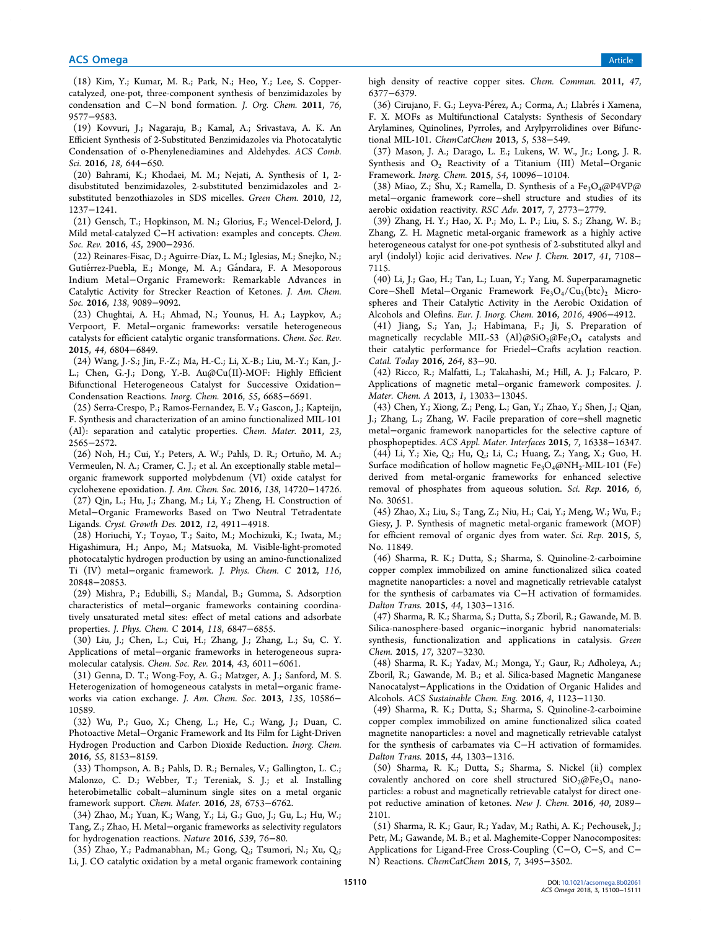(18) Kim, Y.; Kumar, M. R.; Park, N.; Heo, Y.; Lee, S. Coppercatalyzed, one-pot, three-component synthesis of benzimidazoles by condensation and C−N bond formation. *J. Org. Chem.* 2011, *76*, 9577−9583.

(19) Kovvuri, J.; Nagaraju, B.; Kamal, A.; Srivastava, A. K. An Efficient Synthesis of 2-Substituted Benzimidazoles via Photocatalytic Condensation of o-Phenylenediamines and Aldehydes. *ACS Comb. Sci.* 2016, *18*, 644−650.

(20) Bahrami, K.; Khodaei, M. M.; Nejati, A. Synthesis of 1, 2 disubstituted benzimidazoles, 2-substituted benzimidazoles and 2 substituted benzothiazoles in SDS micelles. *Green Chem.* 2010, *12*, 1237−1241.

(21) Gensch, T.; Hopkinson, M. N.; Glorius, F.; Wencel-Delord, J. Mild metal-catalyzed C−H activation: examples and concepts. *Chem. Soc. Rev.* 2016, *45*, 2900−2936.

(22) Reinares-Fisac, D.; Aguirre-Díaz, L. M.; Iglesias, M.; Snejko, N.; Gutiérrez-Puebla, E.; Monge, M. A.; Gándara, F. A Mesoporous Indium Metal−Organic Framework: Remarkable Advances in Catalytic Activity for Strecker Reaction of Ketones. *J. Am. Chem. Soc.* 2016, *138*, 9089−9092.

(23) Chughtai, A. H.; Ahmad, N.; Younus, H. A.; Laypkov, A.; Verpoort, F. Metal−organic frameworks: versatile heterogeneous catalysts for efficient catalytic organic transformations. *Chem. Soc. Rev.* 2015, *44*, 6804−6849.

(24) Wang, J.-S.; Jin, F.-Z.; Ma, H.-C.; Li, X.-B.; Liu, M.-Y.; Kan, J.- L.; Chen, G.-J.; Dong, Y.-B. Au@Cu(II)-MOF: Highly Efficient Bifunctional Heterogeneous Catalyst for Successive Oxidation− Condensation Reactions. *Inorg. Chem.* 2016, *55*, 6685−6691.

(25) Serra-Crespo, P.; Ramos-Fernandez, E. V.; Gascon, J.; Kapteijn, F. Synthesis and characterization of an amino functionalized MIL-101 (Al): separation and catalytic properties. *Chem. Mater.* 2011, *23*, 2565−2572.

(26) Noh, H.; Cui, Y.; Peters, A. W.; Pahls, D. R.; Ortuño, M. A.; Vermeulen, N. A.; Cramer, C. J.; et al. An exceptionally stable metal− organic framework supported molybdenum (VI) oxide catalyst for cyclohexene epoxidation. *J. Am. Chem. Soc.* 2016, *138*, 14720−14726.

(27) Qin, L.; Hu, J.; Zhang, M.; Li, Y.; Zheng, H. Construction of Metal−Organic Frameworks Based on Two Neutral Tetradentate Ligands. *Cryst. Growth Des.* 2012, *12*, 4911−4918.

(28) Horiuchi, Y.; Toyao, T.; Saito, M.; Mochizuki, K.; Iwata, M.; Higashimura, H.; Anpo, M.; Matsuoka, M. Visible-light-promoted photocatalytic hydrogen production by using an amino-functionalized Ti (IV) metal−organic framework. *J. Phys. Chem. C* 2012, *116*, 20848−20853.

(29) Mishra, P.; Edubilli, S.; Mandal, B.; Gumma, S. Adsorption characteristics of metal−organic frameworks containing coordinatively unsaturated metal sites: effect of metal cations and adsorbate properties. *J. Phys. Chem. C* 2014, *118*, 6847−6855.

(30) Liu, J.; Chen, L.; Cui, H.; Zhang, J.; Zhang, L.; Su, C. Y. Applications of metal−organic frameworks in heterogeneous supramolecular catalysis. *Chem. Soc. Rev.* 2014, *43*, 6011−6061.

(31) Genna, D. T.; Wong-Foy, A. G.; Matzger, A. J.; Sanford, M. S. Heterogenization of homogeneous catalysts in metal−organic frameworks via cation exchange. *J. Am. Chem. Soc.* 2013, *135*, 10586− 10589.

(32) Wu, P.; Guo, X.; Cheng, L.; He, C.; Wang, J.; Duan, C. Photoactive Metal−Organic Framework and Its Film for Light-Driven Hydrogen Production and Carbon Dioxide Reduction. *Inorg. Chem.* 2016, *55*, 8153−8159.

(33) Thompson, A. B.; Pahls, D. R.; Bernales, V.; Gallington, L. C.; Malonzo, C. D.; Webber, T.; Tereniak, S. J.; et al. Installing heterobimetallic cobalt−aluminum single sites on a metal organic framework support. *Chem. Mater.* 2016, *28*, 6753−6762.

(34) Zhao, M.; Yuan, K.; Wang, Y.; Li, G.; Guo, J.; Gu, L.; Hu, W.; Tang, Z.; Zhao, H. Metal−organic frameworks as selectivity regulators for hydrogenation reactions. *Nature* 2016, *539*, 76−80.

(35) Zhao, Y.; Padmanabhan, M.; Gong, Q.; Tsumori, N.; Xu, Q.; Li, J. CO catalytic oxidation by a metal organic framework containing high density of reactive copper sites. *Chem. Commun.* 2011, *47*, 6377−6379.

(36) Cirujano, F. G.; Leyva-Pérez, A.; Corma, A.; Llabrés i Xamena, F. X. MOFs as Multifunctional Catalysts: Synthesis of Secondary Arylamines, Quinolines, Pyrroles, and Arylpyrrolidines over Bifunctional MIL-101. *ChemCatChem* 2013, *5*, 538−549.

(37) Mason, J. A.; Darago, L. E.; Lukens, W. W., Jr.; Long, J. R. Synthesis and O<sup>2</sup> Reactivity of a Titanium (III) Metal−Organic Framework. *Inorg. Chem.* 2015, *54*, 10096−10104.

(38) Miao, Z.; Shu, X.; Ramella, D. Synthesis of a Fe<sub>3</sub>O<sub>4</sub>@P4VP@ metal−organic framework core−shell structure and studies of its aerobic oxidation reactivity. *RSC Adv.* 2017, *7*, 2773−2779.

(39) Zhang, H. Y.; Hao, X. P.; Mo, L. P.; Liu, S. S.; Zhang, W. B.; Zhang, Z. H. Magnetic metal-organic framework as a highly active heterogeneous catalyst for one-pot synthesis of 2-substituted alkyl and aryl (indolyl) kojic acid derivatives. *New J. Chem.* 2017, *41*, 7108− 7115.

(40) Li, J.; Gao, H.; Tan, L.; Luan, Y.; Yang, M. Superparamagnetic Core−Shell Metal−Organic Framework Fe<sub>3</sub>O<sub>4</sub>/Cu<sub>3</sub>(btc)<sub>2</sub> Microspheres and Their Catalytic Activity in the Aerobic Oxidation of Alcohols and Olefins. *Eur. J. Inorg. Chem.* 2016, *2016*, 4906−4912.

(41) Jiang, S.; Yan, J.; Habimana, F.; Ji, S. Preparation of magnetically recyclable MIL-53 (Al) $\omega$ SiO<sub>2</sub> $\omega$ Fe<sub>3</sub>O<sub>4</sub> catalysts and their catalytic performance for Friedel−Crafts acylation reaction. *Catal. Today* 2016, *264*, 83−90.

(42) Ricco, R.; Malfatti, L.; Takahashi, M.; Hill, A. J.; Falcaro, P. Applications of magnetic metal−organic framework composites. *J. Mater. Chem. A* 2013, *1*, 13033−13045.

(43) Chen, Y.; Xiong, Z.; Peng, L.; Gan, Y.; Zhao, Y.; Shen, J.; Qian, J.; Zhang, L.; Zhang, W. Facile preparation of core−shell magnetic metal−organic framework nanoparticles for the selective capture of phosphopeptides. *ACS Appl. Mater. Interfaces* 2015, *7*, 16338−16347. (44) Li, Y.; Xie, Q.; Hu, Q.; Li, C.; Huang, Z.; Yang, X.; Guo, H. Surface modification of hollow magnetic  $Fe<sub>3</sub>O<sub>4</sub>(@NH<sub>2</sub>-MIL-101 (Fe)$ derived from metal-organic frameworks for enhanced selective removal of phosphates from aqueous solution. *Sci. Rep.* 2016, *6*, No. 30651.

(45) Zhao, X.; Liu, S.; Tang, Z.; Niu, H.; Cai, Y.; Meng, W.; Wu, F.; Giesy, J. P. Synthesis of magnetic metal-organic framework (MOF) for efficient removal of organic dyes from water. *Sci. Rep.* 2015, *5*, No. 11849.

(46) Sharma, R. K.; Dutta, S.; Sharma, S. Quinoline-2-carboimine copper complex immobilized on amine functionalized silica coated magnetite nanoparticles: a novel and magnetically retrievable catalyst for the synthesis of carbamates via C−H activation of formamides. *Dalton Trans.* 2015, *44*, 1303−1316.

(47) Sharma, R. K.; Sharma, S.; Dutta, S.; Zboril, R.; Gawande, M. B. Silica-nanosphere-based organic−inorganic hybrid nanomaterials: synthesis, functionalization and applications in catalysis. *Green Chem.* 2015, *17*, 3207−3230.

(48) Sharma, R. K.; Yadav, M.; Monga, Y.; Gaur, R.; Adholeya, A.; Zboril, R.; Gawande, M. B.; et al. Silica-based Magnetic Manganese Nanocatalyst−Applications in the Oxidation of Organic Halides and Alcohols. *ACS Sustainable Chem. Eng.* 2016, *4*, 1123−1130.

(49) Sharma, R. K.; Dutta, S.; Sharma, S. Quinoline-2-carboimine copper complex immobilized on amine functionalized silica coated magnetite nanoparticles: a novel and magnetically retrievable catalyst for the synthesis of carbamates via C−H activation of formamides. *Dalton Trans.* 2015, *44*, 1303−1316.

(50) Sharma, R. K.; Dutta, S.; Sharma, S. Nickel (ii) complex covalently anchored on core shell structured  $SiO<sub>2</sub>(\omega Fe<sub>3</sub>O<sub>4</sub>)$  nanoparticles: a robust and magnetically retrievable catalyst for direct onepot reductive amination of ketones. *New J. Chem.* 2016, *40*, 2089− 2101.

(51) Sharma, R. K.; Gaur, R.; Yadav, M.; Rathi, A. K.; Pechousek, J.; Petr, M.; Gawande, M. B.; et al. Maghemite-Copper Nanocomposites: Applications for Ligand-Free Cross-Coupling (C−O, C−S, and C− N) Reactions. *ChemCatChem* 2015, *7*, 3495−3502.